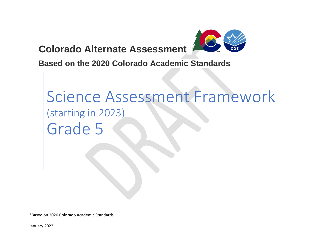**Colorado Alternate Assessment** 



**Based on the 2020 Colorado Academic Standards**

# Science Assessment Framework (starting in 2023) Grade 5

\*Based on 2020 Colorado Academic Standards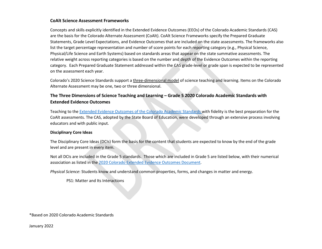# **CoAlt Science Assessment Frameworks**

Concepts and skills explicitly identified in the Extended Evidence Outcomes (EEOs) of the Colorado Academic Standards (CAS) are the basis for the Colorado Alternate Assessment (CoAlt). CoAlt Science Frameworks specify the Prepared Graduate Statements, Grade Level Expectations, and Evidence Outcomes that are included on the state assessments. The frameworks also list the target percentage representation and number of score points for each reporting category (e.g., Physical Science, Physical/Life Science and Earth Systems) based on standards areas that appear on the state summative assessments. The relative weight across reporting categories is based on the number and depth of the Evidence Outcomes within the reporting category. Each Prepared Graduate Statement addressed within the CAS grade-level or grade span is expected to be represented on the assessment each year.

Colorado's 2020 Science Standards support a [three-dimensional model](https://www.cde.state.co.us/coscience/three-dimensional-3-d-learning) of science teaching and learning. Items on the Colorado Alternate Assessment may be one, two or three dimensional.

# **The Three Dimensions of Science Teaching and Learning – Grade 5 2020 Colorado Academic Standards with Extended Evidence Outcomes**

Teaching to th[e Extended Evidence Outcomes of the Colorado Academic Standards w](https://www.cde.state.co.us/coextendedeo)ith fidelity is the best preparation for the CoAlt assessments. The CAS, adopted by the State Board of Education, were developed through an extensive process involving educators and with public input.

# **Disciplinary Core Ideas**

The Disciplinary Core Ideas (DCIs) form the basis for the content that students are expected to know by the end of the grade level and are present in every item.

Not all DCIs are included in the Grade 5 standards. Those which are included in Grade 5 are listed below, with their numerical association as listed in the [2020 Colorado Extended Evidence Outcomes Document.](https://www.cde.state.co.us/coextendedeo/eeo-science)

*Physical Science*: Students know and understand common properties, forms, and changes in matter and energy.

PS1: Matter and Its Interactions

\*Based on 2020 Colorado Academic Standards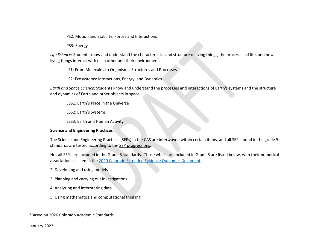PS2: Motion and Stability: Forces and Interactions

PS3: Energy

*Life Science*: Students know and understand the characteristics and structure of living things, the processes of life, and how living things interact with each other and their environment.

LS1: From Molecules to Organisms: Structures and Processes

LS2: Ecosystems: Interactions, Energy, and Dynamics

*Earth and Space Science*: Students know and understand the processes and interactions of Earth's systems and the structure and dynamics of Earth and other objects in space.

ESS1: Earth's Place in the Universe

ESS2: Earth's Systems

ESS3: Earth and Human Activity

#### **Science and Engineering Practices**

The Science and Engineering Practices (SEPs) in the CAS are interwoven within certain items, and all SEPs found in the grade 5 standards are tested according to th[e SEP progressions.](https://www.cde.state.co.us/coscience/sep-progressions)

Not all SEPs are included in the Grade 5 standards. Those which are included in Grade 5 are listed below, with their numerical association as listed in the [2020 Colorado Extended Evidence Outcomes Document.](https://www.cde.state.co.us/coextendedeo/eeo-science)

- 2. Developing and using models
- 3. Planning and carrying out investigations
- 4. Analyzing and interpreting data
- 5. Using mathematics and computational thinking

\*Based on 2020 Colorado Academic Standards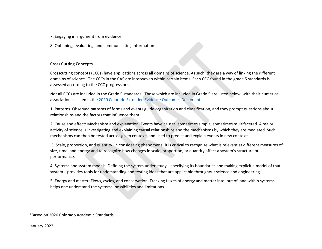- 7. Engaging in argument from evidence
- 8. Obtaining, evaluating, and communicating information

### **Cross Cutting Concepts**

Crosscutting concepts (CCCs) have applications across all domains of science. As such, they are a way of linking the different domains of science. The CCCs in the CAS are interwoven within certain items. Each CCC found in the grade 5 standards is assessed according to th[e CCC progressions.](https://www.cde.state.co.us/coscience/ccprogressions)

Not all CCCs are included in the Grade 5 standards. Those which are included in Grade 5 are listed below, with their numerical association as listed in the [2020 Colorado Extended Evidence Outcomes Document.](https://www.cde.state.co.us/coextendedeo/eeo-science)

1. Patterns. Observed patterns of forms and events guide organization and classification, and they prompt questions about relationships and the factors that influence them.

2. Cause and effect: Mechanism and explanation. Events have causes, sometimes simple, sometimes multifaceted. A major activity of science is investigating and explaining causal relationships and the mechanisms by which they are mediated. Such mechanisms can then be tested across given contexts and used to predict and explain events in new contexts.

3. Scale, proportion, and quantity. In considering phenomena, it is critical to recognize what is relevant at different measures of size, time, and energy and to recognize how changes in scale, proportion, or quantity affect a system's structure or performance.

4. Systems and system models. Defining the system under study—specifying its boundaries and making explicit a model of that system—provides tools for understanding and testing ideas that are applicable throughout science and engineering.

5. Energy and matter: Flows, cycles, and conservation. Tracking fluxes of energy and matter into, out of, and within systems helps one understand the systems' possibilities and limitations.

\*Based on 2020 Colorado Academic Standards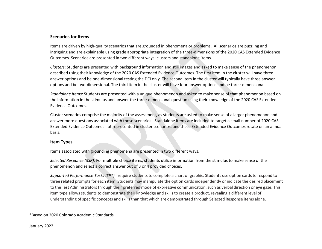## **Scenarios for Items**

Items are driven by high-quality scenarios that are grounded in phenomena or problems. All scenarios are puzzling and intriguing and are explainable using grade appropriate integration of the three-dimensions of the 2020 CAS Extended Evidence Outcomes. Scenarios are presented in two different ways: clusters and standalone items.

*Clusters*: Students are presented with background information and still images and asked to make sense of the phenomenon described using their knowledge of the 2020 CAS Extended Evidence Outcomes. The first item in the cluster will have three answer options and be one-dimensional testing the DCI only. The second item in the cluster will typically have three answer options and be two-dimensional. The third item in the cluster will have four answer options and be three-dimensional.

*Standalone Items*: Students are presented with a unique phenomenon and asked to make sense of that phenomenon based on the information in the stimulus and answer the three-dimensional question using their knowledge of the 2020 CAS Extended Evidence Outcomes.

Cluster scenarios comprise the majority of the assessment, as students are asked to make sense of a larger phenomenon and answer more questions associated with those scenarios. Standalone items are included to target a small number of 2020 CAS Extended Evidence Outcomes not represented in cluster scenarios, and these Extended Evidence Outcomes rotate on an annual basis.

#### **Item Types**

Items associated with grounding phenomena are presented in two different ways.

*Selected Response (3SR):* For multiple choice items, students utilize information from the stimulus to make sense of the phenomenon and select a correct answer out of 3 or 4 provided choices.

*Supported Performance Tasks (SPT):* require students to complete a chart or graphic. Students use option cards to respond to three related prompts for each item. Students may manipulate the option cards independently or indicate the desired placement to the Test Administrators through their preferred mode of expressive communication, such as verbal direction or eye gaze. This item type allows students to demonstrate their knowledge and skills to create a product, revealing a different level of understanding ofspecific concepts and skills than that which are demonstrated through Selected Response items alone.

\*Based on 2020 Colorado Academic Standards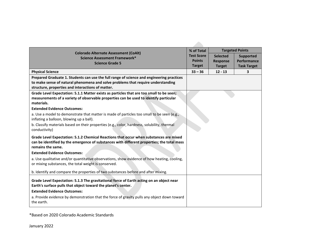| <b>Colorado Alternate Assessment (CoAlt)</b>                                                                                                                                                                                       | % of Total        |                 | <b>Targeted Points</b> |
|------------------------------------------------------------------------------------------------------------------------------------------------------------------------------------------------------------------------------------|-------------------|-----------------|------------------------|
| Science Assessment Framework*                                                                                                                                                                                                      | <b>Test Score</b> | <b>Selected</b> | <b>Supported</b>       |
| <b>Science Grade 5</b>                                                                                                                                                                                                             | <b>Points</b>     | <b>Response</b> | Performance            |
|                                                                                                                                                                                                                                    | <b>Target</b>     | <b>Target</b>   | <b>Task Target</b>     |
| <b>Physical Science</b>                                                                                                                                                                                                            | $33 - 36$         | $12 - 13$       | 3                      |
| Prepared Graduate 1. Students can use the full range of science and engineering practices<br>to make sense of natural phenomena and solve problems that require understanding<br>structure, properties and interactions of matter. |                   |                 |                        |
| Grade Level Expectation: 5.1.1 Matter exists as particles that are too small to be seen;<br>measurements of a variety of observable properties can be used to identify particular<br>materials.                                    |                   |                 |                        |
| <b>Extended Evidence Outcomes:</b>                                                                                                                                                                                                 |                   |                 |                        |
| a. Use a model to demonstrate that matter is made of particles too small to be seen (e.g.,<br>inflating a balloon, blowing up a ball).                                                                                             |                   |                 |                        |
| b. Classify materials based on their properties (e.g., color, hardness, solubility, thermal<br>conductivity)                                                                                                                       |                   |                 |                        |
| Grade Level Expectation: 5.1.2 Chemical Reactions that occur when substances are mixed<br>can be identified by the emergence of substances with different properties; the total mass<br>remains the same.                          |                   |                 |                        |
| <b>Extended Evidence Outcomes:</b>                                                                                                                                                                                                 |                   |                 |                        |
| a. Use qualitative and/or quantitative observations, show evidence of how heating, cooling,<br>or mixing substances, the total weight is conserved.                                                                                |                   |                 |                        |
| b. Identify and compare the properties of two substances before and after mixing.                                                                                                                                                  |                   |                 |                        |
| Grade Level Expectation: 5.1.3 The gravitational force of Earth acting on an object near<br>Earth's surface pulls that object toward the planet's center.<br><b>Extended Evidence Outcomes:</b>                                    |                   |                 |                        |
| a. Provide evidence by demonstration that the force of gravity pulls any object down toward<br>the earth.                                                                                                                          |                   |                 |                        |

\*Based on 2020 Colorado Academic Standards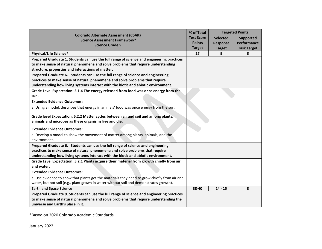|                                                                                                                                                                 |                   | % of Total<br><b>Targeted Points</b> |                    |
|-----------------------------------------------------------------------------------------------------------------------------------------------------------------|-------------------|--------------------------------------|--------------------|
| <b>Colorado Alternate Assessment (CoAlt)</b><br>Science Assessment Framework*                                                                                   | <b>Test Score</b> | <b>Selected</b>                      | <b>Supported</b>   |
| <b>Science Grade 5</b>                                                                                                                                          | <b>Points</b>     | <b>Response</b>                      | Performance        |
|                                                                                                                                                                 | <b>Target</b>     | <b>Target</b>                        | <b>Task Target</b> |
| Physical/Life Science*                                                                                                                                          | 27                | 9                                    | 3                  |
| Prepared Graduate 1. Students can use the full range of science and engineering practices                                                                       |                   |                                      |                    |
| to make sense of natural phenomena and solve problems that require understanding                                                                                |                   |                                      |                    |
| structure, properties and interactions of matter.                                                                                                               |                   |                                      |                    |
| Prepared Graduate 6. Students can use the full range of science and engineering                                                                                 |                   |                                      |                    |
| practices to make sense of natural phenomena and solve problems that require                                                                                    |                   |                                      |                    |
| understanding how living systems interact with the biotic and abiotic environment.                                                                              |                   |                                      |                    |
| Grade Level Expectation: 5.1.4 The energy released from food was once energy from the                                                                           |                   |                                      |                    |
| sun.                                                                                                                                                            |                   |                                      |                    |
| <b>Extended Evidence Outcomes:</b>                                                                                                                              |                   |                                      |                    |
| a. Using a model, describes that energy in animals' food was once energy from the sun.                                                                          |                   |                                      |                    |
| Grade level Expectation: 5.2.2 Matter cycles between air and soil and among plants,                                                                             |                   |                                      |                    |
| animals and microbes as these organisms live and die.                                                                                                           |                   |                                      |                    |
| <b>Extended Evidence Outcomes:</b>                                                                                                                              |                   |                                      |                    |
| a. Develop a model to show the movement of matter among plants, animals, and the<br>environment.                                                                |                   |                                      |                    |
|                                                                                                                                                                 |                   |                                      |                    |
| Prepared Graduate 6. Students can use the full range of science and engineering<br>practices to make sense of natural phenomena and solve problems that require |                   |                                      |                    |
| understanding how living systems interact with the biotic and abiotic environment.                                                                              |                   |                                      |                    |
| Grade Level Expectation: 5.2.1 Plants acquire their material from growth chiefly from air                                                                       |                   |                                      |                    |
| and water.                                                                                                                                                      |                   |                                      |                    |
| <b>Extended Evidence Outcomes:</b>                                                                                                                              |                   |                                      |                    |
| a. Use evidence to show that plants get the materials they need to grow chiefly from air and                                                                    |                   |                                      |                    |
| water, but not soil (e.g., plant grown in water without soil and demonstrates growth).                                                                          |                   |                                      |                    |
| <b>Earth and Space Science</b>                                                                                                                                  | 38-40             | $14 - 15$                            | 3                  |
| Prepared Graduate 9. Students can use the full range of science and engineering practices                                                                       |                   |                                      |                    |
| to make sense of natural phenomena and solve problems that require understanding the                                                                            |                   |                                      |                    |
| universe and Earth's place in it.                                                                                                                               |                   |                                      |                    |

\*Based on 2020 Colorado Academic Standards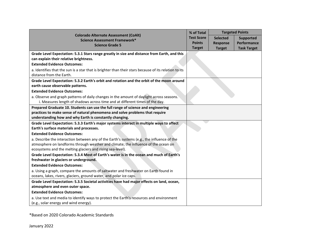|                                                                                                                                   | % of Total        | <b>Targeted Points</b> |                    |
|-----------------------------------------------------------------------------------------------------------------------------------|-------------------|------------------------|--------------------|
| <b>Colorado Alternate Assessment (CoAlt)</b><br>Science Assessment Framework*                                                     | <b>Test Score</b> | <b>Selected</b>        | <b>Supported</b>   |
| <b>Science Grade 5</b>                                                                                                            | <b>Points</b>     | <b>Response</b>        | Performance        |
|                                                                                                                                   | <b>Target</b>     | <b>Target</b>          | <b>Task Target</b> |
| Grade Level Expectation: 5.3.1 Stars range greatly in size and distance from Earth, and this                                      |                   |                        |                    |
| can explain their relative brightness.                                                                                            |                   |                        |                    |
| <b>Extended Evidence Outcomes:</b>                                                                                                |                   |                        |                    |
| a. Identifies that the sun is a star that is brighter than their stars because of its relation to its<br>distance from the Earth. |                   |                        |                    |
| Grade Level Expectation: 5.3.2 Earth's orbit and rotation and the orbit of the moon around                                        |                   |                        |                    |
| earth cause observable patterns.                                                                                                  |                   |                        |                    |
| <b>Extended Evidence Outcomes:</b>                                                                                                |                   |                        |                    |
| a. Observe and graph patterns of daily changes in the amount of daylight across seasons.                                          |                   |                        |                    |
| i. Measures length of shadows across time and at different times of the day.                                                      |                   |                        |                    |
| Prepared Graduate 10. Students can use the full range of science and engineering                                                  |                   |                        |                    |
| practices to make sense of natural phenomena and solve problems that require                                                      |                   |                        |                    |
| understanding how and why Earth is constantly changing.                                                                           |                   |                        |                    |
| Grade Level Expectation: 5.3.3 Earth's major systems interact in multiple ways to affect                                          |                   |                        |                    |
| Earth's surface materials and processes.                                                                                          |                   |                        |                    |
| <b>Extended Evidence Outcomes:</b>                                                                                                |                   |                        |                    |
| a. Describe the interaction between any of the Earth's systems (e.g., the influence of the                                        |                   |                        |                    |
| atmosphere on landforms through weather and climate; the influence of the ocean on                                                |                   |                        |                    |
| ecosystems and the melting glaciers and rising sea-level).                                                                        |                   |                        |                    |
| Grade Level Expectation: 5.3.4 Most of Earth's water is in the ocean and much of Earth's                                          |                   |                        |                    |
| freshwater in glaciers or underground.                                                                                            |                   |                        |                    |
| <b>Extended Evidence Outcomes:</b>                                                                                                |                   |                        |                    |
| a. Using a graph, compare the amounts of saltwater and freshwater on Earth found in                                               |                   |                        |                    |
| oceans, lakes, rivers, glaciers, ground water, and polar ice caps.                                                                |                   |                        |                    |
| Grade Level Expectation: 5.3.5 Societal activities have had major effects on land, ocean,                                         |                   |                        |                    |
| atmosphere and even outer space.                                                                                                  |                   |                        |                    |
| <b>Extended Evidence Outcomes:</b>                                                                                                |                   |                        |                    |
| a. Use text and media to identify ways to protect the Earth's resources and environment                                           |                   |                        |                    |
| (e.g., solar energy and wind energy).                                                                                             |                   |                        |                    |

\*Based on 2020 Colorado Academic Standards